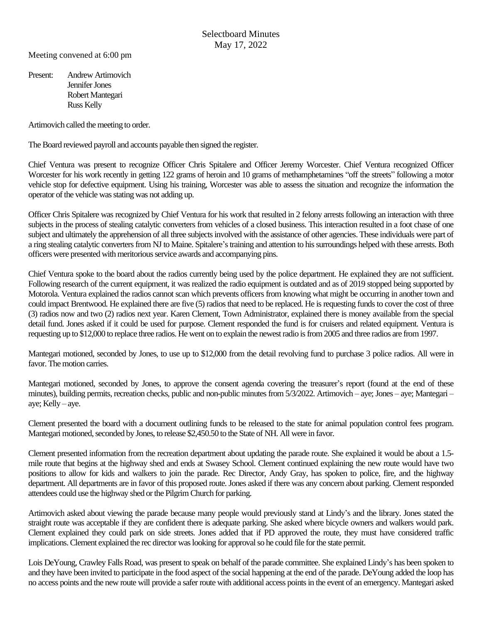Meeting convened at 6:00 pm

Present: Andrew Artimovich Jennifer Jones Robert Mantegari Russ Kelly

Artimovich called the meeting to order.

The Board reviewed payroll and accounts payable then signed the register.

Chief Ventura was present to recognize Officer Chris Spitalere and Officer Jeremy Worcester. Chief Ventura recognized Officer Worcester for his work recently in getting 122 grams of heroin and 10 grams of methamphetamines "off the streets" following a motor vehicle stop for defective equipment. Using his training, Worcester was able to assess the situation and recognize the information the operator of the vehicle was stating was not adding up.

Officer Chris Spitalere was recognized by Chief Ventura for his work that resulted in 2 felony arrests following an interaction with three subjects in the process of stealing catalytic converters from vehicles of a closed business. This interaction resulted in a foot chase of one subject and ultimately the apprehension of all three subjects involved with the assistance of other agencies. These individuals were part of a ring stealing catalytic converters from NJ to Maine. Spitalere'straining and attention to his surroundings helped with these arrests. Both officers were presented with meritorious service awards and accompanying pins.

Chief Ventura spoke to the board about the radios currently being used by the police department. He explained they are not sufficient. Following research of the current equipment, it was realized the radio equipment is outdated and as of 2019 stopped being supported by Motorola. Ventura explained the radios cannot scan which prevents officers from knowing what might be occurring in another town and could impact Brentwood. He explained there are five (5) radios that need to be replaced. He is requesting funds to cover the cost of three (3) radios now and two (2) radios next year. Karen Clement, Town Administrator, explained there is money available from the special detail fund. Jones asked if it could be used for purpose. Clement responded the fund is for cruisers and related equipment. Ventura is requesting up to \$12,000 to replace three radios. He went on to explain the newest radio is from 2005 and three radios are from 1997.

Mantegari motioned, seconded by Jones, to use up to \$12,000 from the detail revolving fund to purchase 3 police radios. All were in favor. The motion carries.

Mantegari motioned, seconded by Jones, to approve the consent agenda covering the treasurer's report (found at the end of these minutes), building permits, recreation checks, public and non-public minutes from 5/3/2022. Artimovich – aye; Jones – aye; Mantegari – aye; Kelly – aye.

Clement presented the board with a document outlining funds to be released to the state for animal population control fees program. Mantegari motioned, seconded by Jones, to release \$2,450.50 to the State of NH. All were in favor.

Clement presented information from the recreation department about updating the parade route. She explained it would be about a 1.5 mile route that begins at the highway shed and ends at Swasey School. Clement continued explaining the new route would have two positions to allow for kids and walkers to join the parade. Rec Director, Andy Gray, has spoken to police, fire, and the highway department. All departments are in favor of this proposed route. Jones asked if there was any concern about parking. Clement responded attendees could use the highway shed or the Pilgrim Church for parking.

Artimovich asked about viewing the parade because many people would previously stand at Lindy's and the library. Jones stated the straight route was acceptable if they are confident there is adequate parking. She asked where bicycle owners and walkers would park. Clement explained they could park on side streets. Jones added that if PD approved the route, they must have considered traffic implications.Clement explained the rec director was looking for approval so he could file for the state permit.

Lois DeYoung, Crawley Falls Road, was present to speak on behalf of the parade committee. She explained Lindy's has been spoken to and they have been invited to participate in the food aspect of the social happening at the end of the parade. DeYoung added the loop has no access points and the new route will provide a safer route with additional access points in the event of an emergency. Mantegari asked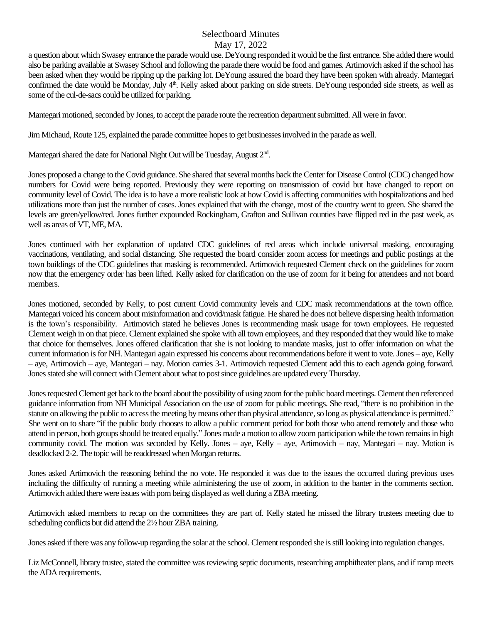## Selectboard Minutes May 17, 2022

a question about which Swasey entrance the parade would use. DeYoung responded it would be the first entrance. She added there would also be parking available at Swasey School and following the parade there would be food and games. Artimovich asked if the school has been asked when they would be ripping up the parking lot. DeYoung assured the board they have been spoken with already. Mantegari confirmed the date would be Monday, July 4<sup>th</sup>. Kelly asked about parking on side streets. DeYoung responded side streets, as well as some of the cul-de-sacs could be utilized for parking.

Mantegari motioned, seconded by Jones, to accept the parade route the recreation department submitted. All were in favor.

Jim Michaud, Route 125, explained the parade committee hopes to get businesses involved in the parade as well.

Mantegari shared the date for National Night Out will be Tuesday, August 2<sup>nd</sup>.

Jones proposed a change to the Covid guidance. She shared that several months back the Center for Disease Control (CDC) changed how numbers for Covid were being reported. Previously they were reporting on transmission of covid but have changed to report on community level of Covid. The idea is to have a more realistic look at how Covid is affecting communities with hospitalizations and bed utilizations more than just the number of cases. Jones explained that with the change, most of the country went to green. She shared the levels are green/yellow/red. Jones further expounded Rockingham, Grafton and Sullivan counties have flipped red in the past week, as well as areas of VT, ME, MA.

Jones continued with her explanation of updated CDC guidelines of red areas which include universal masking, encouraging vaccinations, ventilating, and social distancing. She requested the board consider zoom access for meetings and public postings at the town buildings of the CDC guidelines that masking is recommended. Artimovich requested Clement check on the guidelines for zoom now that the emergency order has been lifted. Kelly asked for clarification on the use of zoom for it being for attendees and not board members.

Jones motioned, seconded by Kelly, to post current Covid community levels and CDC mask recommendations at the town office. Mantegari voiced his concern about misinformation and covid/mask fatigue. He shared he does not believe dispersing health information is the town's responsibility. Artimovich stated he believes Jones is recommending mask usage for town employees. He requested Clement weigh in on that piece. Clement explained she spoke with all town employees, and they responded that they would like to make that choice for themselves. Jones offered clarification that she is not looking to mandate masks, just to offer information on what the current information isfor NH. Mantegari again expressed his concerns about recommendations before it went to vote. Jones – aye, Kelly – aye, Artimovich – aye, Mantegari – nay. Motion carries 3-1. Artimovich requested Clement add this to each agenda going forward. Jones stated she will connect with Clement about what to post since guidelines are updated every Thursday.

Jones requested Clement get back to the board about the possibility of using zoom for the public board meetings. Clement then referenced guidance information from NH Municipal Association on the use of zoom for public meetings. She read, "there is no prohibition in the statute on allowing the public to access the meeting by means otherthan physical attendance, so long as physical attendance is permitted." She went on to share "if the public body chooses to allow a public comment period for both those who attend remotely and those who attend in person, both groups should be treated equally." Jones made a motion to allow zoom participation while the town remains in high community covid. The motion was seconded by Kelly. Jones – aye, Kelly – aye, Artimovich – nay, Mantegari – nay. Motion is deadlocked 2-2. The topic will be readdressed when Morgan returns.

Jones asked Artimovich the reasoning behind the no vote. He responded it was due to the issues the occurred during previous uses including the difficulty of running a meeting while administering the use of zoom, in addition to the banter in the comments section. Artimovich added there were issues with porn being displayed as well during a ZBA meeting.

Artimovich asked members to recap on the committees they are part of. Kelly stated he missed the library trustees meeting due to scheduling conflicts but did attend the 2½ hour ZBA training.

Jones asked if there was any follow-up regarding the solar at the school.Clement responded she is still looking into regulation changes.

Liz McConnell, library trustee, stated the committee was reviewing septic documents, researching amphitheater plans, and if ramp meets the ADA requirements.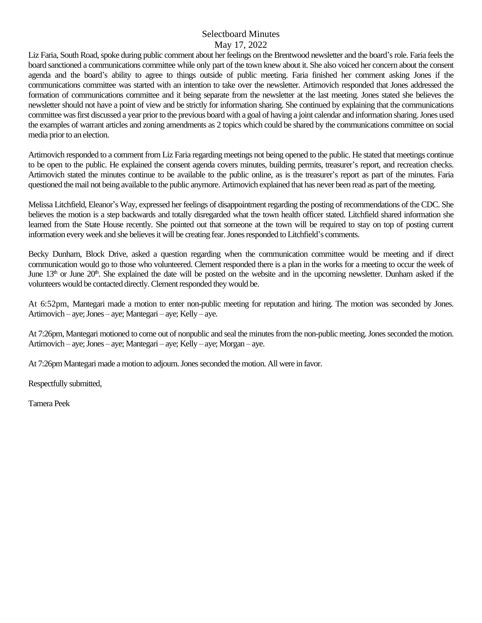## Selectboard Minutes May 17, 2022

Liz Faria, South Road, spoke during public comment about her feelings on the Brentwood newsletter and the board's role. Faria feels the board sanctioned a communications committee while only part of the town knew about it. She also voiced her concern about the consent agenda and the board's ability to agree to things outside of public meeting. Faria finished her comment asking Jones if the communications committee was started with an intention to take over the newsletter. Artimovich responded that Jones addressed the formation of communications committee and it being separate from the newsletter at the last meeting. Jones stated she believes the newsletter should not have a point of view and be strictly for information sharing. She continued by explaining that the communications committee was first discussed a year prior to the previous board with a goal of having a joint calendar and information sharing. Jones used the examples of warrant articles and zoning amendments as 2 topics which could be shared by the communications committee on social media prior to an election.

Artimovich responded to a comment from Liz Faria regarding meetings not being opened to the public. He stated that meetings continue to be open to the public. He explained the consent agenda covers minutes, building permits, treasurer's report, and recreation checks. Artimovich stated the minutes continue to be available to the public online, as is the treasurer's report as part of the minutes. Faria questioned the mail not being available to the public anymore. Artimovich explained that has never been read as part of the meeting.

Melissa Litchfield, Eleanor's Way, expressed her feelings of disappointment regarding the posting of recommendations of the CDC. She believes the motion is a step backwards and totally disregarded what the town health officer stated. Litchfield shared information she learned from the State House recently. She pointed out that someone at the town will be required to stay on top of posting current information every week and she believes it will be creating fear. Jones responded to Litchfield's comments.

Becky Dunham, Block Drive, asked a question regarding when the communication committee would be meeting and if direct communication would go to those who volunteered. Clement responded there is a plan in the works for a meeting to occur the week of June  $13<sup>th</sup>$  or June  $20<sup>th</sup>$ . She explained the date will be posted on the website and in the upcoming newsletter. Dunham asked if the volunteers would be contacted directly. Clement responded they would be.

At 6:52pm, Mantegari made a motion to enter non-public meeting for reputation and hiring. The motion was seconded by Jones. Artimovich – aye; Jones – aye; Mantegari – aye; Kelly – aye.

At 7:26pm, Mantegari motioned to come out of nonpublic and seal the minutes from the non-public meeting. Jones seconded the motion. Artimovich – aye; Jones – aye; Mantegari – aye; Kelly – aye; Morgan – aye.

At 7:26pm Mantegari made a motion to adjourn. Jones seconded the motion. All were in favor.

Respectfully submitted,

Tamera Peek